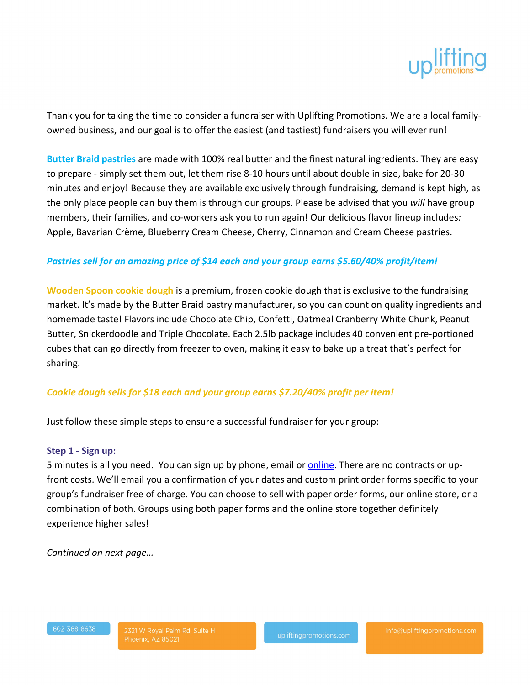

Thank you for taking the time to consider a fundraiser with Uplifting Promotions. We are a local familyowned business, and our goal is to offer the easiest (and tastiest) fundraisers you will ever run!

**Butter Braid pastries** are made with 100% real butter and the finest natural ingredients. They are easy to prepare - simply set them out, let them rise 8-10 hours until about double in size, bake for 20-30 minutes and enjoy! Because they are available exclusively through fundraising, demand is kept high, as the only place people can buy them is through our groups. Please be advised that you *will* have group members, their families, and co-workers ask you to run again! Our delicious flavor lineup includes*:*  Apple, Bavarian Crème, Blueberry Cream Cheese, Cherry, Cinnamon and Cream Cheese pastries.

# *Pastries sell for an amazing price of \$14 each and your group earns \$5.60/40% profit/item!*

**Wooden Spoon cookie dough** is a premium, frozen cookie dough that is exclusive to the fundraising market. It's made by the Butter Braid pastry manufacturer, so you can count on quality ingredients and homemade taste! Flavors include Chocolate Chip, Confetti, Oatmeal Cranberry White Chunk, Peanut Butter, Snickerdoodle and Triple Chocolate. Each 2.5lb package includes 40 convenient pre-portioned cubes that can go directly from freezer to oven, making it easy to bake up a treat that's perfect for sharing.

## *Cookie dough sells for \$18 each and your group earns \$7.20/40% profit per item!*

Just follow these simple steps to ensure a successful fundraiser for your group:

#### **Step 1 - Sign up:**

5 minutes is all you need. You can sign up by phone, email o[r online.](http://upliftingpromotions.com/signup) There are no contracts or upfront costs. We'll email you a confirmation of your dates and custom print order forms specific to your group's fundraiser free of charge. You can choose to sell with paper order forms, our online store, or a combination of both. Groups using both paper forms and the online store together definitely experience higher sales!

*Continued on next page…*